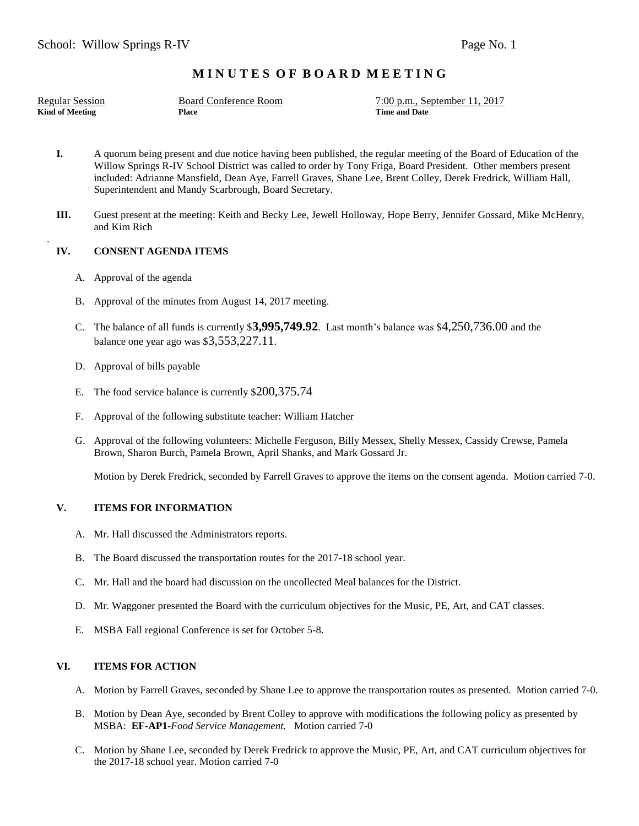# **M I N U T E S O F B O A R D M E E T I N G**

.

**Kind of Meeting <b>Place Place Place Place Place Place Place Place Place Place Place Place Place Place Place Place Place Place Place Place Place Place Place Place Place Plac** 

Regular Session Board Conference Room 7:00 p.m., September 11, 2017

- **I.** A quorum being present and due notice having been published, the regular meeting of the Board of Education of the Willow Springs R-IV School District was called to order by Tony Friga, Board President. Other members present included: Adrianne Mansfield, Dean Aye, Farrell Graves, Shane Lee, Brent Colley, Derek Fredrick, William Hall, Superintendent and Mandy Scarbrough, Board Secretary.
- **III.** Guest present at the meeting: Keith and Becky Lee, Jewell Holloway, Hope Berry, Jennifer Gossard, Mike McHenry, and Kim Rich

## **IV. CONSENT AGENDA ITEMS**

- A. Approval of the agenda
- B. Approval of the minutes from August 14, 2017 meeting.
- C. The balance of all funds is currently \$**3,995,749.92**. Last month's balance was \$4,250,736.00 and the balance one year ago was \$3,553,227.11.
- D. Approval of bills payable
- E. The food service balance is currently \$200,375.74
- F. Approval of the following substitute teacher: William Hatcher
- G. Approval of the following volunteers: Michelle Ferguson, Billy Messex, Shelly Messex, Cassidy Crewse, Pamela Brown, Sharon Burch, Pamela Brown, April Shanks, and Mark Gossard Jr.

Motion by Derek Fredrick, seconded by Farrell Graves to approve the items on the consent agenda. Motion carried 7-0.

### **V. ITEMS FOR INFORMATION**

- A. Mr. Hall discussed the Administrators reports.
- B. The Board discussed the transportation routes for the 2017-18 school year.
- C. Mr. Hall and the board had discussion on the uncollected Meal balances for the District.
- D. Mr. Waggoner presented the Board with the curriculum objectives for the Music, PE, Art, and CAT classes.
- E. MSBA Fall regional Conference is set for October 5-8.

## **VI. ITEMS FOR ACTION**

- A. Motion by Farrell Graves, seconded by Shane Lee to approve the transportation routes as presented. Motion carried 7-0.
- B. Motion by Dean Aye, seconded by Brent Colley to approve with modifications the following policy as presented by MSBA: **EF-AP1-***Food Service Management.* Motion carried 7-0
- C. Motion by Shane Lee, seconded by Derek Fredrick to approve the Music, PE, Art, and CAT curriculum objectives for the 2017-18 school year. Motion carried 7-0